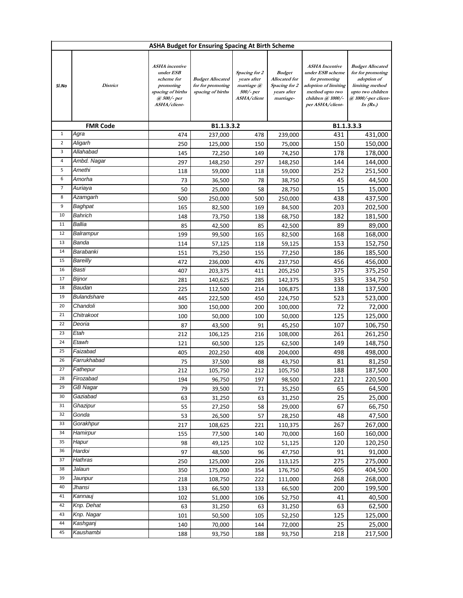| <b>ASHA Budget for Ensuring Spacing At Birth Scheme</b> |                    |                                                                                                                   |                                                                   |                                                                        |                                                                                    |                                                                                                                                                |                                                                                                                                          |  |  |  |
|---------------------------------------------------------|--------------------|-------------------------------------------------------------------------------------------------------------------|-------------------------------------------------------------------|------------------------------------------------------------------------|------------------------------------------------------------------------------------|------------------------------------------------------------------------------------------------------------------------------------------------|------------------------------------------------------------------------------------------------------------------------------------------|--|--|--|
| Sl.No                                                   | District           | <b>ASHA</b> incentive<br>under ESB<br>scheme for<br>promoting<br>spacing of births<br>@ 500/- per<br>ASHA/client- | <b>Budget Allocated</b><br>for for promoting<br>spacing of births | Spacing for 2<br>years after<br>marriage @<br>500/- per<br>ASHA/client | <b>Budget</b><br><b>Allocated</b> for<br>Spacing for 2<br>years after<br>marriage- | <b>ASHA</b> Incentive<br>under ESB scheme<br>for promoting<br>adoption of limiting<br>method upto two<br>children @ 1000/-<br>per ASHA/client- | <b>Budget Allocated</b><br>for for promoting<br>adoption of<br>limiting method<br>upto two children<br>@ 1000/-per client-<br>In $(Rs.)$ |  |  |  |
| <b>FMR Code</b>                                         |                    |                                                                                                                   | B1.1.3.3.2                                                        | B1.1.3.3.3                                                             |                                                                                    |                                                                                                                                                |                                                                                                                                          |  |  |  |
| $\mathbf 1$                                             | Agra               | 237,000<br>474                                                                                                    |                                                                   | 239,000<br>478                                                         |                                                                                    | 431<br>431,000                                                                                                                                 |                                                                                                                                          |  |  |  |
| $\overline{\mathbf{c}}$                                 | Aligarh            | 250                                                                                                               | 125,000                                                           | 150                                                                    | 75,000                                                                             | 150                                                                                                                                            | 150,000                                                                                                                                  |  |  |  |
| 3                                                       | Allahabad          | 145                                                                                                               | 72,250                                                            | 149                                                                    | 74,250                                                                             | 178                                                                                                                                            | 178,000                                                                                                                                  |  |  |  |
| 4                                                       | Ambd. Nagar        | 297                                                                                                               | 148,250                                                           | 297                                                                    | 148,250                                                                            | 144                                                                                                                                            | 144,000                                                                                                                                  |  |  |  |
| 5                                                       | Amethi             | 118                                                                                                               | 59,000                                                            | 118                                                                    | 59,000                                                                             | 252                                                                                                                                            | 251,500                                                                                                                                  |  |  |  |
| 6                                                       | Amorha             | 73                                                                                                                | 36,500                                                            | 78                                                                     | 38,750                                                                             | 45                                                                                                                                             | 44,500                                                                                                                                   |  |  |  |
| 7                                                       | Auriaya            | 50                                                                                                                | 25,000                                                            | 58                                                                     | 28,750                                                                             | 15                                                                                                                                             | 15,000                                                                                                                                   |  |  |  |
| 8                                                       | Azamgarh           | 500                                                                                                               | 250,000                                                           | 500                                                                    | 250,000                                                                            | 438                                                                                                                                            | 437,500                                                                                                                                  |  |  |  |
| 9                                                       | Baghpat            | 165                                                                                                               | 82,500                                                            | 169                                                                    | 84,500                                                                             | 203                                                                                                                                            | 202,500                                                                                                                                  |  |  |  |
| 10                                                      | Bahrich            | 148                                                                                                               | 73,750                                                            | 138                                                                    | 68,750                                                                             | 182                                                                                                                                            | 181,500                                                                                                                                  |  |  |  |
| 11                                                      | Ballia             | 85                                                                                                                | 42,500                                                            | 85                                                                     | 42,500                                                                             | 89                                                                                                                                             | 89,000                                                                                                                                   |  |  |  |
| 12                                                      | Balrampur          | 199                                                                                                               | 99,500                                                            | 165                                                                    | 82,500                                                                             | 168                                                                                                                                            | 168,000                                                                                                                                  |  |  |  |
| 13                                                      | Banda              | 114                                                                                                               | 57,125                                                            | 118                                                                    | 59,125                                                                             | 153                                                                                                                                            | 152,750                                                                                                                                  |  |  |  |
| 14                                                      | Barabanki          | 151                                                                                                               | 75,250                                                            | 155                                                                    | 77,250                                                                             | 186                                                                                                                                            | 185,500                                                                                                                                  |  |  |  |
| 15                                                      | Bareilly           | 472                                                                                                               | 236,000                                                           | 476                                                                    | 237,750                                                                            | 456                                                                                                                                            | 456,000                                                                                                                                  |  |  |  |
| 16                                                      | Basti              | 407                                                                                                               | 203,375                                                           | 411                                                                    | 205,250                                                                            | 375                                                                                                                                            | 375,250                                                                                                                                  |  |  |  |
| 17                                                      | Bijnor             | 281                                                                                                               | 140,625                                                           | 285                                                                    | 142,375                                                                            | 335                                                                                                                                            | 334,750                                                                                                                                  |  |  |  |
| 18                                                      | Baudan             | 225                                                                                                               | 112,500                                                           | 214                                                                    | 106,875                                                                            | 138                                                                                                                                            | 137,500                                                                                                                                  |  |  |  |
| 19                                                      | <b>Bulandshare</b> | 445                                                                                                               | 222,500                                                           | 450                                                                    | 224,750                                                                            | 523                                                                                                                                            | 523,000                                                                                                                                  |  |  |  |
| 20                                                      | Chandoli           | 300                                                                                                               | 150,000                                                           | 200                                                                    | 100,000                                                                            | 72                                                                                                                                             | 72,000                                                                                                                                   |  |  |  |
| 21                                                      | Chitrakoot         | 100                                                                                                               | 50,000                                                            | 100                                                                    | 50,000                                                                             | 125                                                                                                                                            | 125,000                                                                                                                                  |  |  |  |
| 22                                                      | Deoria             | 87                                                                                                                | 43,500                                                            | 91                                                                     | 45,250                                                                             | 107                                                                                                                                            | 106,750                                                                                                                                  |  |  |  |
| 23                                                      | Etah               | 212                                                                                                               | 106,125                                                           | 216                                                                    | 108,000                                                                            | 261                                                                                                                                            | 261,250                                                                                                                                  |  |  |  |
| 24                                                      | Etawh              | 121                                                                                                               | 60,500                                                            | 125                                                                    | 62,500                                                                             | 149                                                                                                                                            | 148,750                                                                                                                                  |  |  |  |
| 25                                                      | Faizabad           | 405                                                                                                               | 202,250                                                           | 408                                                                    | 204,000                                                                            | 498                                                                                                                                            | 498,000                                                                                                                                  |  |  |  |
| 26                                                      | Farrukhabad        | 75                                                                                                                | 37,500                                                            | 88                                                                     | 43,750                                                                             | 81                                                                                                                                             | 81,250                                                                                                                                   |  |  |  |
| 27                                                      | Fathepur           | 212                                                                                                               | 105,750                                                           | 212                                                                    | 105,750                                                                            | 188                                                                                                                                            | 187,500                                                                                                                                  |  |  |  |
| 28                                                      | Firozabad          | 194                                                                                                               | 96,750                                                            | 197                                                                    | 98,500                                                                             | 221                                                                                                                                            | 220,500                                                                                                                                  |  |  |  |
| 29                                                      | <b>GB Nagar</b>    | 79                                                                                                                | 39,500                                                            | 71                                                                     | 35,250                                                                             | 65                                                                                                                                             | 64,500                                                                                                                                   |  |  |  |
| 30                                                      | Gaziabad           | 63                                                                                                                | 31,250                                                            | 63                                                                     | 31,250                                                                             | 25                                                                                                                                             | 25,000                                                                                                                                   |  |  |  |
| 31                                                      | Ghazipur           | 55                                                                                                                | 27,250                                                            | 58                                                                     | 29,000                                                                             | 67                                                                                                                                             | 66,750                                                                                                                                   |  |  |  |
| 32                                                      | Gonda              | 53                                                                                                                | 26,500                                                            | 57                                                                     | 28,250                                                                             | 48                                                                                                                                             | 47,500                                                                                                                                   |  |  |  |
| 33<br>34                                                | Gorakhpur          | 217                                                                                                               | 108,625                                                           | 221                                                                    | 110,375                                                                            | 267                                                                                                                                            | 267,000                                                                                                                                  |  |  |  |
| 35                                                      | Hamirpur<br>Hapur  | 155                                                                                                               | 77,500                                                            | 140                                                                    | 70,000                                                                             | 160                                                                                                                                            | 160,000                                                                                                                                  |  |  |  |
| 36                                                      | Hardoi             | 98                                                                                                                | 49,125                                                            | 102                                                                    | 51,125                                                                             | 120                                                                                                                                            | 120,250                                                                                                                                  |  |  |  |
| 37                                                      | Hathras            | 97                                                                                                                | 48,500                                                            | 96                                                                     | 47,750                                                                             | 91                                                                                                                                             | 91,000                                                                                                                                   |  |  |  |
| 38                                                      | Jalaun             | 250                                                                                                               | 125,000                                                           | 226                                                                    | 113,125                                                                            | 275                                                                                                                                            | 275,000                                                                                                                                  |  |  |  |
| 39                                                      | Jaunpur            | 350                                                                                                               | 175,000                                                           | 354                                                                    | 176,750                                                                            | 405                                                                                                                                            | 404,500                                                                                                                                  |  |  |  |
| 40                                                      | Jhansi             | 218                                                                                                               | 108,750                                                           | 222                                                                    | 111,000                                                                            | 268<br>200                                                                                                                                     | 268,000                                                                                                                                  |  |  |  |
| 41                                                      | Kannauj            | 133<br>102                                                                                                        | 66,500                                                            | 133                                                                    | 66,500                                                                             | 41                                                                                                                                             | 199,500                                                                                                                                  |  |  |  |
| 42                                                      | Knp. Dehat         | 63                                                                                                                | 51,000<br>31,250                                                  | 106<br>63                                                              | 52,750<br>31,250                                                                   | 63                                                                                                                                             | 40,500<br>62,500                                                                                                                         |  |  |  |
| 43                                                      | Knp. Nagar         | 101                                                                                                               | 50,500                                                            | 105                                                                    | 52,250                                                                             | 125                                                                                                                                            | 125,000                                                                                                                                  |  |  |  |
| 44                                                      | Kashganj           | 140                                                                                                               | 70,000                                                            | 144                                                                    | 72,000                                                                             | 25                                                                                                                                             | 25,000                                                                                                                                   |  |  |  |
| 45                                                      | Kaushambi          | 188                                                                                                               | 93,750                                                            | 188                                                                    | 93,750                                                                             | 218                                                                                                                                            | 217,500                                                                                                                                  |  |  |  |